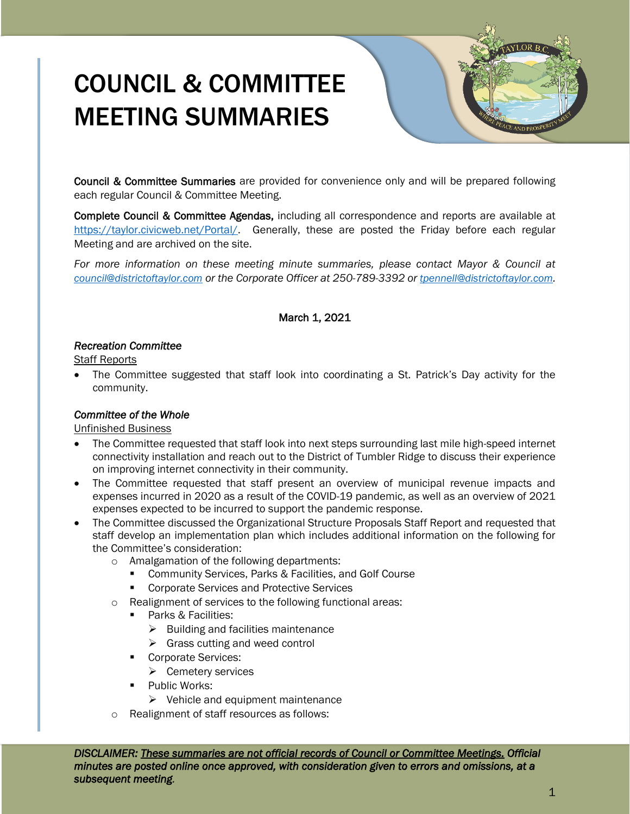# COUNCIL & COMMITTEE MEETING SUMMARIES

Council & Committee Summaries are provided for convenience only and will be prepared following each regular Council & Committee Meeting.

Complete Council & Committee Agendas, including all correspondence and reports are available at [https://taylor.civicweb.net/Portal/.](https://taylor.civicweb.net/Portal/) Generally, these are posted the Friday before each regular Meeting and are archived on the site.

*For more information on these meeting minute summaries, please contact Mayor & Council at [council@districtoftaylor.com](mailto:council@districtoftaylor.com) or the Corporate Officer at 250-789-3392 or [tpennell@districtoftaylor.com](mailto:tpennell@districtoftaylor.com).* 

## March 1, 2021

#### *Recreation Committee*

Staff Reports

 The Committee suggested that staff look into coordinating a St. Patrick's Day activity for the community.

## *Committee of the Whole*

Unfinished Business

- The Committee requested that staff look into next steps surrounding last mile high-speed internet connectivity installation and reach out to the District of Tumbler Ridge to discuss their experience on improving internet connectivity in their community.
- The Committee requested that staff present an overview of municipal revenue impacts and expenses incurred in 2020 as a result of the COVID-19 pandemic, as well as an overview of 2021 expenses expected to be incurred to support the pandemic response.
- The Committee discussed the Organizational Structure Proposals Staff Report and requested that staff develop an implementation plan which includes additional information on the following for the Committee's consideration:
	- o Amalgamation of the following departments:
		- Community Services, Parks & Facilities, and Golf Course
		- Corporate Services and Protective Services
	- o Realignment of services to the following functional areas:
		- Parks & Facilities:
			- $\triangleright$  Building and facilities maintenance
			- $\triangleright$  Grass cutting and weed control
		- Corporate Services:
			- $\triangleright$  Cemetery services
		- **Public Works:** 
			- $\triangleright$  Vehicle and equipment maintenance
	- o Realignment of staff resources as follows: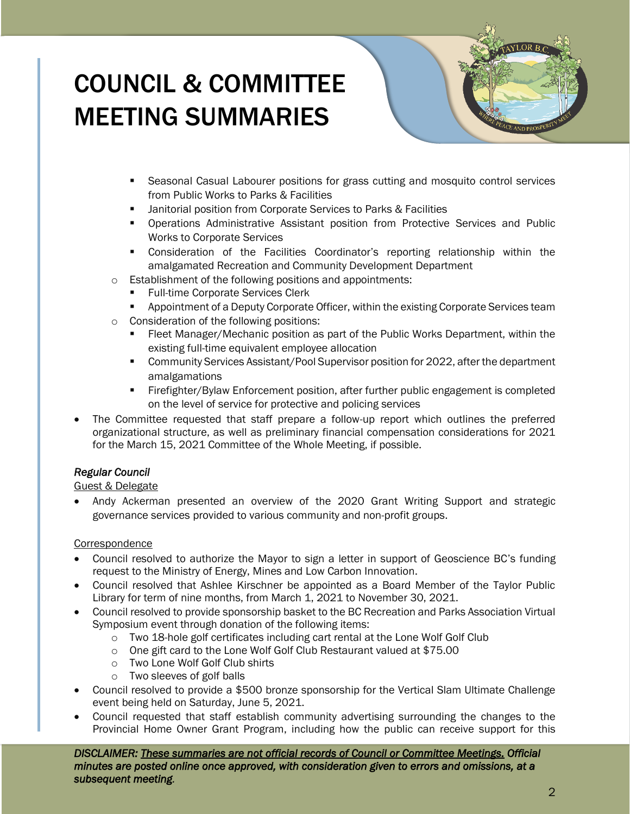# COUNCIL & COMMITTEE MEETING SUMMARIES

- Seasonal Casual Labourer positions for grass cutting and mosquito control services from Public Works to Parks & Facilities
- **EXTER** Janitorial position from Corporate Services to Parks & Facilities
- Operations Administrative Assistant position from Protective Services and Public Works to Corporate Services
- Consideration of the Facilities Coordinator's reporting relationship within the amalgamated Recreation and Community Development Department
- o Establishment of the following positions and appointments:
	- Full-time Corporate Services Clerk
	- Appointment of a Deputy Corporate Officer, within the existing Corporate Services team
- o Consideration of the following positions:
	- **Fileet Manager/Mechanic position as part of the Public Works Department, within the** existing full-time equivalent employee allocation
	- Community Services Assistant/Pool Supervisor position for 2022, after the department amalgamations
	- Firefighter/Bylaw Enforcement position, after further public engagement is completed on the level of service for protective and policing services
- The Committee requested that staff prepare a follow-up report which outlines the preferred organizational structure, as well as preliminary financial compensation considerations for 2021 for the March 15, 2021 Committee of the Whole Meeting, if possible.

## *Regular Council*

#### Guest & Delegate

 Andy Ackerman presented an overview of the 2020 Grant Writing Support and strategic governance services provided to various community and non-profit groups.

#### Correspondence

- Council resolved to authorize the Mayor to sign a letter in support of Geoscience BC's funding request to the Ministry of Energy, Mines and Low Carbon Innovation.
- Council resolved that Ashlee Kirschner be appointed as a Board Member of the Taylor Public Library for term of nine months, from March 1, 2021 to November 30, 2021.
- Council resolved to provide sponsorship basket to the BC Recreation and Parks Association Virtual Symposium event through donation of the following items:
	- o Two 18-hole golf certificates including cart rental at the Lone Wolf Golf Club
	- o One gift card to the Lone Wolf Golf Club Restaurant valued at \$75.00
	- o Two Lone Wolf Golf Club shirts
	- o Two sleeves of golf balls
- Council resolved to provide a \$500 bronze sponsorship for the Vertical Slam Ultimate Challenge event being held on Saturday, June 5, 2021.
- Council requested that staff establish community advertising surrounding the changes to the Provincial Home Owner Grant Program, including how the public can receive support for this

*DISCLAIMER: These summaries are not official records of Council or Committee Meetings. Official minutes are posted online once approved, with consideration given to errors and omissions, at a subsequent meeting.*